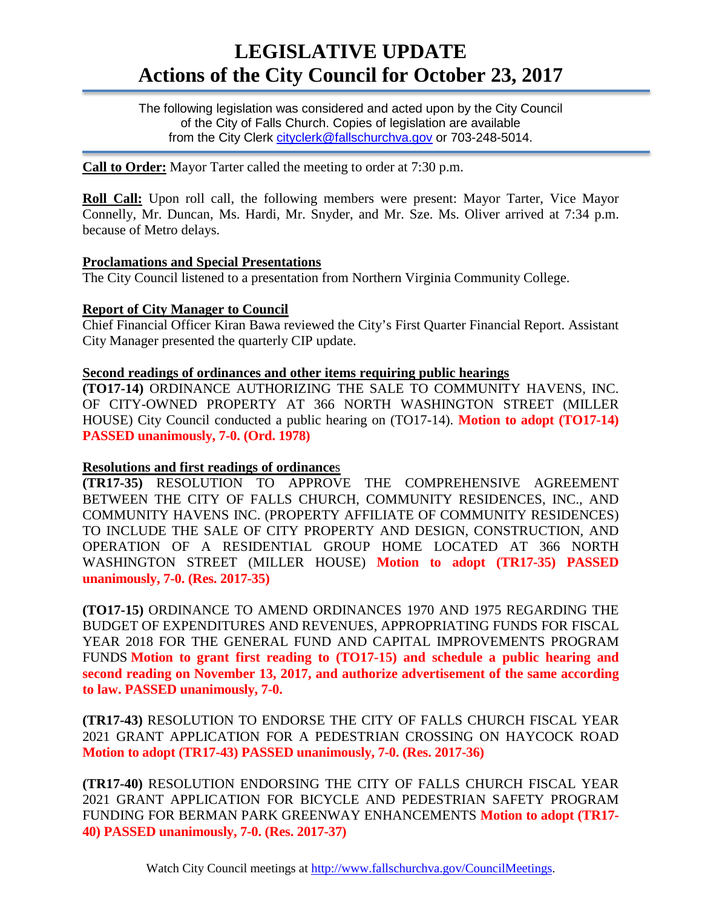# **LEGISLATIVE UPDATE Actions of the City Council for October 23, 2017**

The following legislation was considered and acted upon by the City Council of the City of Falls Church. Copies of legislation are available from the City Clerk [cityclerk@fallschurchva.gov](mailto:cityclerk@fallschurchva.gov) or 703-248-5014.

**Call to Order:** Mayor Tarter called the meeting to order at 7:30 p.m.

**Roll Call:** Upon roll call, the following members were present: Mayor Tarter, Vice Mayor Connelly, Mr. Duncan, Ms. Hardi, Mr. Snyder, and Mr. Sze. Ms. Oliver arrived at 7:34 p.m. because of Metro delays.

#### **Proclamations and Special Presentations**

The City Council listened to a presentation from Northern Virginia Community College.

#### **Report of City Manager to Council**

Chief Financial Officer Kiran Bawa reviewed the City's First Quarter Financial Report. Assistant City Manager presented the quarterly CIP update.

#### **Second readings of ordinances and other items requiring public hearings**

**(TO17-14)** ORDINANCE AUTHORIZING THE SALE TO COMMUNITY HAVENS, INC. OF CITY-OWNED PROPERTY AT 366 NORTH WASHINGTON STREET (MILLER HOUSE) City Council conducted a public hearing on (TO17-14). **Motion to adopt (TO17-14) PASSED unanimously, 7-0. (Ord. 1978)**

## **Resolutions and first readings of ordinance**s

**(TR17-35)** RESOLUTION TO APPROVE THE COMPREHENSIVE AGREEMENT BETWEEN THE CITY OF FALLS CHURCH, COMMUNITY RESIDENCES, INC., AND COMMUNITY HAVENS INC. (PROPERTY AFFILIATE OF COMMUNITY RESIDENCES) TO INCLUDE THE SALE OF CITY PROPERTY AND DESIGN, CONSTRUCTION, AND OPERATION OF A RESIDENTIAL GROUP HOME LOCATED AT 366 NORTH WASHINGTON STREET (MILLER HOUSE) **Motion to adopt (TR17-35) PASSED unanimously, 7-0. (Res. 2017-35)**

**(TO17-15)** ORDINANCE TO AMEND ORDINANCES 1970 AND 1975 REGARDING THE BUDGET OF EXPENDITURES AND REVENUES, APPROPRIATING FUNDS FOR FISCAL YEAR 2018 FOR THE GENERAL FUND AND CAPITAL IMPROVEMENTS PROGRAM FUNDS **Motion to grant first reading to (TO17-15) and schedule a public hearing and second reading on November 13, 2017, and authorize advertisement of the same according to law. PASSED unanimously, 7-0.**

**(TR17-43)** RESOLUTION TO ENDORSE THE CITY OF FALLS CHURCH FISCAL YEAR 2021 GRANT APPLICATION FOR A PEDESTRIAN CROSSING ON HAYCOCK ROAD **Motion to adopt (TR17-43) PASSED unanimously, 7-0. (Res. 2017-36)**

**(TR17-40)** RESOLUTION ENDORSING THE CITY OF FALLS CHURCH FISCAL YEAR 2021 GRANT APPLICATION FOR BICYCLE AND PEDESTRIAN SAFETY PROGRAM FUNDING FOR BERMAN PARK GREENWAY ENHANCEMENTS **Motion to adopt (TR17- 40) PASSED unanimously, 7-0. (Res. 2017-37)**